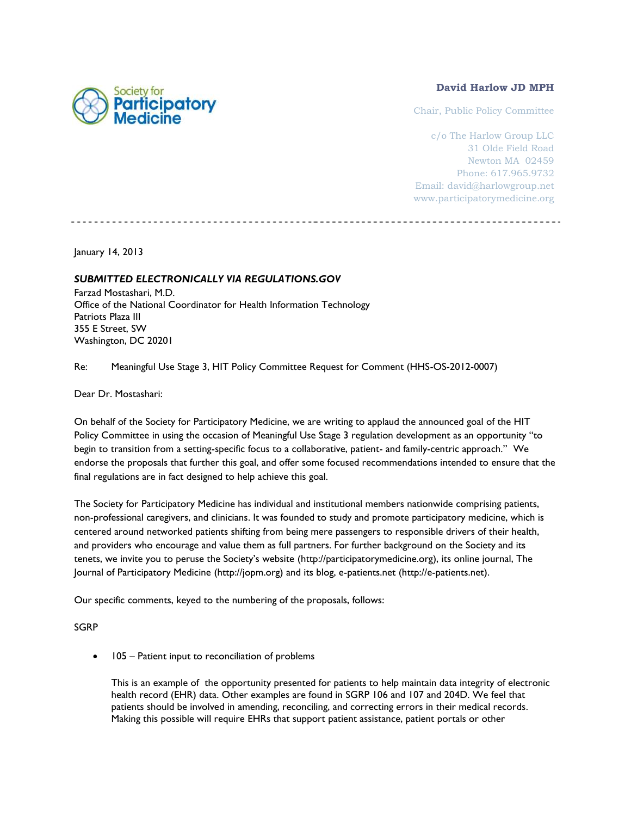

## **David Harlow JD MPH**

Chair, Public Policy Committee

c/o The Harlow Group LLC 31 Olde Field Road Newton MA 02459 Phone: 617.965.9732 Email: david@harlowgroup.net www.participatorymedicine.org

January 14, 2013

## *SUBMITTED ELECTRONICALLY VIA REGULATIONS.GOV*

Farzad Mostashari, M.D. Office of the National Coordinator for Health Information Technology Patriots Plaza III 355 E Street, SW Washington, DC 20201

Re: [Meaningful](http://www.federalregister.gov/regulations/0938-AQ38/medicare-medicaid-and-clia-programs-patient-access-to-laboratory-test-reports-cms-2319-p-) Use Stage 3, HIT Policy Committee Request for Comment (HHS-OS-2012-0007)

Dear Dr. Mostashari:

On behalf of the Society for Participatory Medicine, we are writing to applaud the announced goal of the HIT Policy Committee in using the occasion of Meaningful Use Stage 3 regulation development as an opportunity "to begin to transition from a setting-specific focus to a collaborative, patient- and family-centric approach." We endorse the proposals that further this goal, and offer some focused recommendations intended to ensure that the final regulations are in fact designed to help achieve this goal.

The Society for Participatory Medicine has individual and institutional members nationwide comprising patients, non-professional caregivers, and clinicians. It was founded to study and promote participatory medicine, which is centered around networked patients shifting from being mere passengers to responsible drivers of their health, and providers who encourage and value them as full partners. For further background on the Society and its tenets, we invite you to peruse the Society's website [\(http://participatorymedicine.org\)](http://participatorymedicine.org/), its online journal, The Journal of Participatory Medicine [\(http://jopm.org\)](http://jopm.org/) and its blog, e-patients.net [\(http://e-patients.net\)](http://e-patients.net/).

Our specific comments, keyed to the numbering of the proposals, follows:

SGRP

105 – Patient input to reconciliation of problems

This is an example of the opportunity presented for patients to help maintain data integrity of electronic health record (EHR) data. Other examples are found in SGRP 106 and 107 and 204D. We feel that patients should be involved in amending, reconciling, and correcting errors in their medical records. Making this possible will require EHRs that support patient assistance, patient portals or other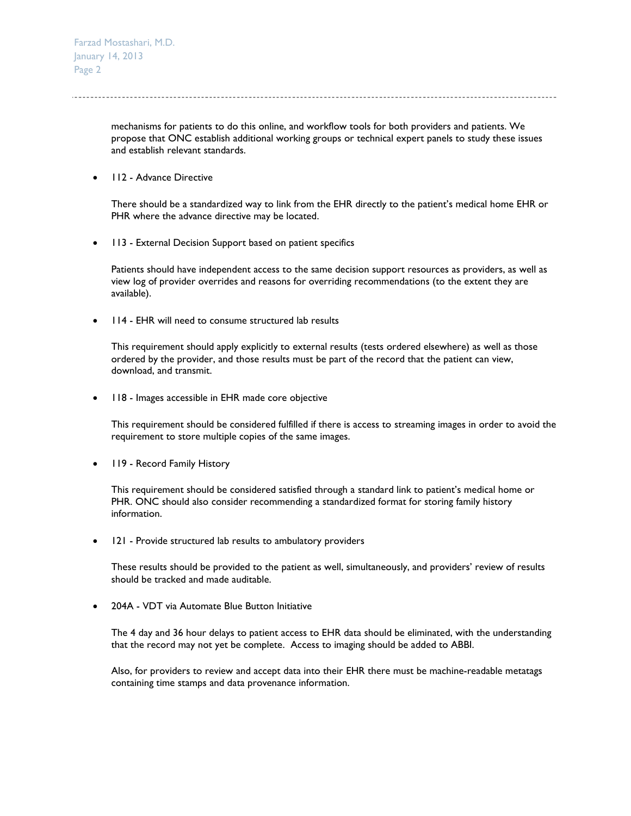mechanisms for patients to do this online, and workflow tools for both providers and patients. We propose that ONC establish additional working groups or technical expert panels to study these issues and establish relevant standards.

• 112 - Advance Directive

There should be a standardized way to link from the EHR directly to the patient's medical home EHR or PHR where the advance directive may be located.

• 113 - External Decision Support based on patient specifics

Patients should have independent access to the same decision support resources as providers, as well as view log of provider overrides and reasons for overriding recommendations (to the extent they are available).

114 - EHR will need to consume structured lab results

This requirement should apply explicitly to external results (tests ordered elsewhere) as well as those ordered by the provider, and those results must be part of the record that the patient can view, download, and transmit.

• 118 - Images accessible in EHR made core objective

This requirement should be considered fulfilled if there is access to streaming images in order to avoid the requirement to store multiple copies of the same images.

• 119 - Record Family History

This requirement should be considered satisfied through a standard link to patient's medical home or PHR. ONC should also consider recommending a standardized format for storing family history information.

121 - Provide structured lab results to ambulatory providers

These results should be provided to the patient as well, simultaneously, and providers' review of results should be tracked and made auditable.

204A - VDT via Automate Blue Button Initiative

The 4 day and 36 hour delays to patient access to EHR data should be eliminated, with the understanding that the record may not yet be complete. Access to imaging should be added to ABBI.

Also, for providers to review and accept data into their EHR there must be machine-readable metatags containing time stamps and data provenance information.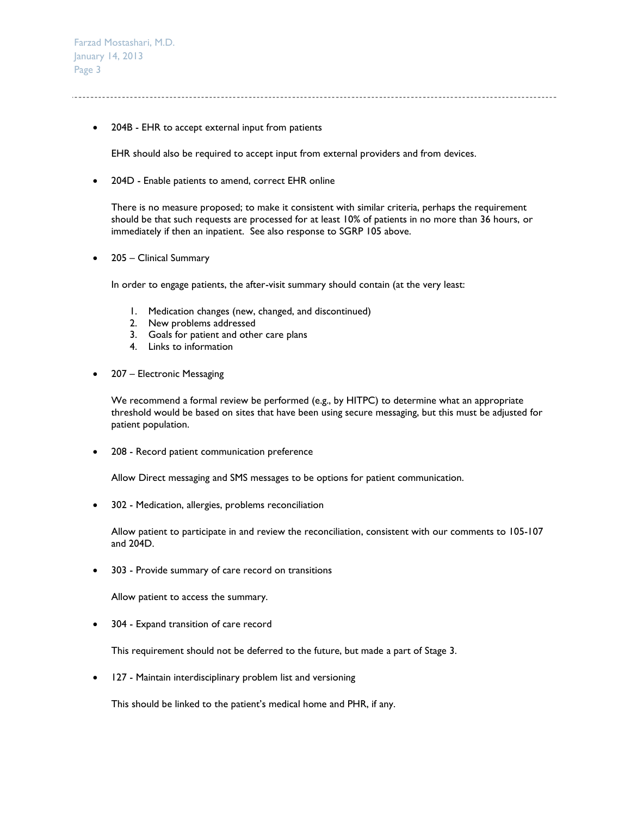• 204B - EHR to accept external input from patients

EHR should also be required to accept input from external providers and from devices.

• 204D - Enable patients to amend, correct EHR online

There is no measure proposed; to make it consistent with similar criteria, perhaps the requirement should be that such requests are processed for at least 10% of patients in no more than 36 hours, or immediately if then an inpatient. See also response to SGRP 105 above.

• 205 – Clinical Summary

In order to engage patients, the after-visit summary should contain (at the very least:

- 1. Medication changes (new, changed, and discontinued)
- 2. New problems addressed
- 3. Goals for patient and other care plans
- 4. Links to information
- 207 Electronic Messaging

We recommend a formal review be performed (e.g., by HITPC) to determine what an appropriate threshold would be based on sites that have been using secure messaging, but this must be adjusted for patient population.

208 - Record patient communication preference

Allow Direct messaging and SMS messages to be options for patient communication.

302 - Medication, allergies, problems reconciliation

Allow patient to participate in and review the reconciliation, consistent with our comments to 105-107 and 204D.

303 - Provide summary of care record on transitions

Allow patient to access the summary.

304 - Expand transition of care record

This requirement should not be deferred to the future, but made a part of Stage 3.

127 - Maintain interdisciplinary problem list and versioning

This should be linked to the patient's medical home and PHR, if any.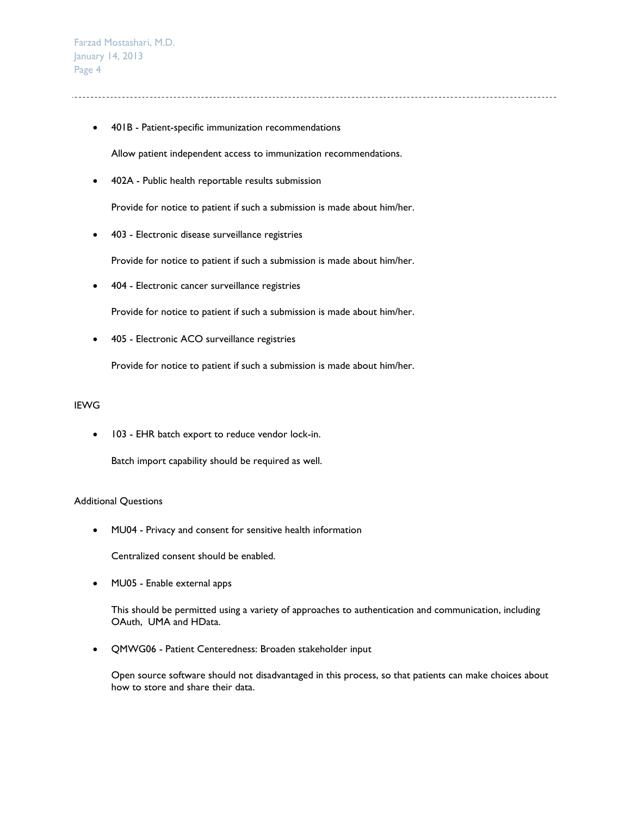401B - Patient-specific immunization recommendations

Allow patient independent access to immunization recommendations.

402A - Public health reportable results submission

Provide for notice to patient if such a submission is made about him/her.

403 - Electronic disease surveillance registries

Provide for notice to patient if such a submission is made about him/her.

404 - Electronic cancer surveillance registries

Provide for notice to patient if such a submission is made about him/her.

405 - Electronic ACO surveillance registries

Provide for notice to patient if such a submission is made about him/her.

## IEWG

• 103 - EHR batch export to reduce vendor lock-in.

Batch import capability should be required as well.

## Additional Questions

MU04 - Privacy and consent for sensitive health information

Centralized consent should be enabled.

• MU05 - Enable external apps

This should be permitted using a variety of approaches to authentication and communication, including OAuth, UMA and HData.

QMWG06 - Patient Centeredness: Broaden stakeholder input

Open source software should not disadvantaged in this process, so that patients can make choices about how to store and share their data.